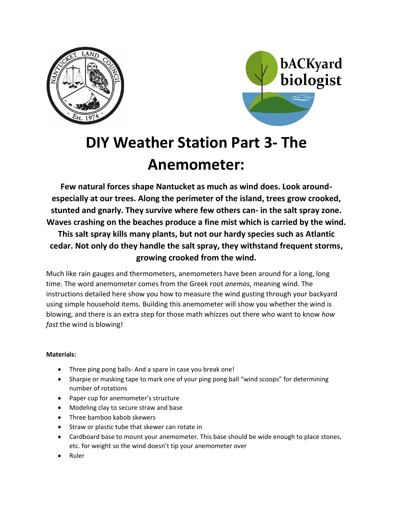



# **DIY Weather Station Part 3- The Anemometer:**

**Few natural forces shape Nantucket as much as wind does. Look aroundespecially at our trees. Along the perimeter of the island, trees grow crooked, stunted and gnarly. They survive where few others can- in the salt spray zone. Waves crashing on the beaches produce a fine mist which is carried by the wind. This salt spray kills many plants, but not our hardy species such as Atlantic cedar. Not only do they handle the salt spray, they withstand frequent storms, growing crooked from the wind.** 

Much like rain gauges and thermometers, anemometers have been around for a long, long time. The word anemometer comes from the Greek root *anemos*, meaning wind. The instructions detailed here show you how to measure the wind gusting through your backyard using simple household items. Building this anemometer will show you whether the wind is blowing, and there is an extra step for those math whizzes out there who want to know *how fast* the wind is blowing!

## **Materials:**

- Three ping pong balls- And a spare in case you break one!
- Sharpie or masking tape to mark one of your ping pong ball "wind scoops" for determining number of rotations
- Paper cup for anemometer's structure
- Modeling clay to secure straw and base
- Three bamboo kabob skewers
- Straw or plastic tube that skewer can rotate in
- Cardboard base to mount your anemometer. This base should be wide enough to place stones, etc. for weight so the wind doesn't tip your anemometer over
- Ruler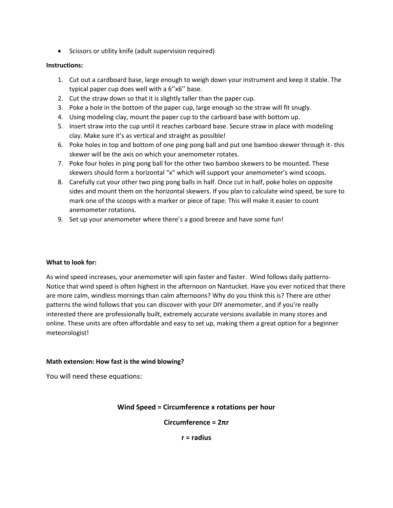• Scissors or utility knife (adult supervision required)

#### **Instructions:**

- 1. Cut out a cardboard base, large enough to weigh down your instrument and keep it stable. The typical paper cup does well with a 6''x6'' base.
- 2. Cut the straw down so that it is slightly taller than the paper cup.
- 3. Poke a hole in the bottom of the paper cup, large enough so the straw will fit snugly.
- 4. Using modeling clay, mount the paper cup to the carboard base with bottom up.
- 5. Insert straw into the cup until it reaches carboard base. Secure straw in place with modeling clay. Make sure it's as vertical and straight as possible!
- 6. Poke holes in top and bottom of one ping pong ball and put one bamboo skewer through it- this skewer will be the axis on which your anemometer rotates.
- 7. Poke four holes in ping pong ball for the other two bamboo skewers to be mounted. These skewers should form a horizontal "x" which will support your anemometer's wind scoops.
- 8. Carefully cut your other two ping pong balls in half. Once cut in half, poke holes on opposite sides and mount them on the horizontal skewers. If you plan to calculate wind speed, be sure to mark one of the scoops with a marker or piece of tape. This will make it easier to count anemometer rotations.
- 9. Set up your anemometer where there's a good breeze and have some fun!

#### **What to look for:**

As wind speed increases, your anemometer will spin faster and faster. Wind follows daily patterns-Notice that wind speed is often highest in the afternoon on Nantucket. Have you ever noticed that there are more calm, windless mornings than calm afternoons? Why do you think this is? There are other patterns the wind follows that you can discover with your DIY anemometer, and if you're really interested there are professionally built, extremely accurate versions available in many stores and online. These units are often affordable and easy to set up, making them a great option for a beginner meteorologist!

#### **Math extension: How fast is the wind blowing?**

You will need these equations:

## **Wind Speed = Circumference x rotations per hour**

**Circumference = 2πr**

**r = radius**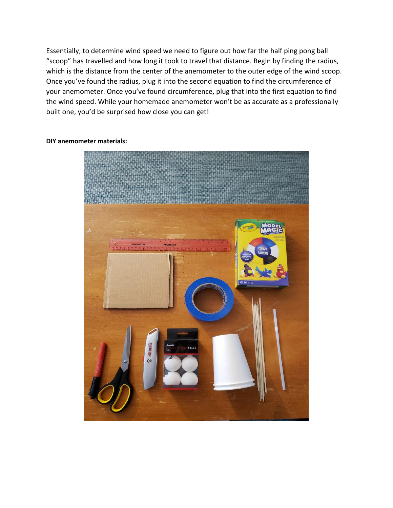Essentially, to determine wind speed we need to figure out how far the half ping pong ball "scoop" has travelled and how long it took to travel that distance. Begin by finding the radius, which is the distance from the center of the anemometer to the outer edge of the wind scoop. Once you've found the radius, plug it into the second equation to find the circumference of your anemometer. Once you've found circumference, plug that into the first equation to find the wind speed. While your homemade anemometer won't be as accurate as a professionally built one, you'd be surprised how close you can get!



#### **DIY anemometer materials:**